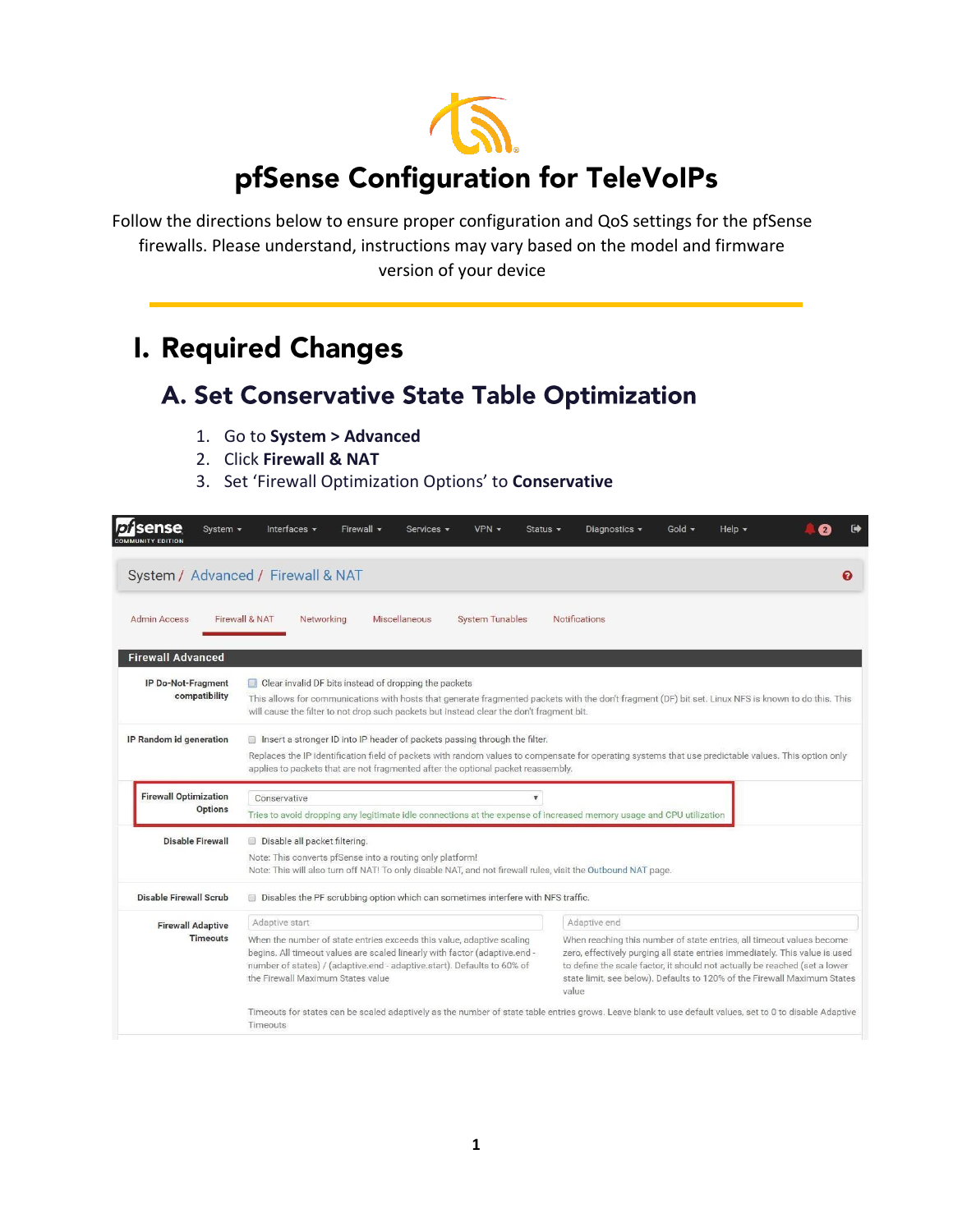

Follow the directions below to ensure proper configuration and QoS settings for the pfSense firewalls. Please understand, instructions may vary based on the model and firmware version of your device

# **I. Required Changes**

## A. Set Conservative State Table Optimization

- 1. Go to **System > Advanced**
- 2. Click **Firewall & NAT**
- 3. Set 'Firewall Optimization Options' to **Conservative**

| sense<br>System $\sim$                  | Firewall $\blacktriangledown$<br>$VPN -$<br>Interfaces $\blacktriangledown$<br>Services -<br>Status $\sim$                                                                                                                                                                                                                                                                                                                                                                                                                                                                                     | Gold $\sim$<br>Help $\blacktriangledown$<br>Diagnostics -                                                                                                |  |  |  |  |  |  |
|-----------------------------------------|------------------------------------------------------------------------------------------------------------------------------------------------------------------------------------------------------------------------------------------------------------------------------------------------------------------------------------------------------------------------------------------------------------------------------------------------------------------------------------------------------------------------------------------------------------------------------------------------|----------------------------------------------------------------------------------------------------------------------------------------------------------|--|--|--|--|--|--|
|                                         | System / Advanced / Firewall & NAT                                                                                                                                                                                                                                                                                                                                                                                                                                                                                                                                                             | ଵ                                                                                                                                                        |  |  |  |  |  |  |
| Admin Access                            | Firewall & NAT<br>Networking<br>Miscellaneous<br><b>System Tunables</b>                                                                                                                                                                                                                                                                                                                                                                                                                                                                                                                        | <b>Notifications</b>                                                                                                                                     |  |  |  |  |  |  |
| <b>Firewall Advanced</b>                |                                                                                                                                                                                                                                                                                                                                                                                                                                                                                                                                                                                                |                                                                                                                                                          |  |  |  |  |  |  |
| IP Do-Not-Fragment<br>compatibility     | Clear invalid DF bits instead of dropping the packets<br>This allows for communications with hosts that generate fragmented packets with the don't fragment (DF) bit set. Linux NFS is known to do this. This<br>will cause the filter to not drop such packets but instead clear the don't fragment bit.                                                                                                                                                                                                                                                                                      |                                                                                                                                                          |  |  |  |  |  |  |
| IP Random id generation                 | Insert a stronger ID into IP header of packets passing through the filter.<br>Replaces the IP identification field of packets with random values to compensate for operating systems that use predictable values. This option only<br>applies to packets that are not fragmented after the optional packet reassembly.                                                                                                                                                                                                                                                                         |                                                                                                                                                          |  |  |  |  |  |  |
| <b>Firewall Optimization</b><br>Options | Conservative<br>$\overline{\mathbf{v}}$<br>Tries to avoid dropping any legitimate idle connections at the expense of increased memory usage and CPU utilization                                                                                                                                                                                                                                                                                                                                                                                                                                |                                                                                                                                                          |  |  |  |  |  |  |
| <b>Disable Firewall</b>                 | Disable all packet filtering.<br>Note: This converts pfSense into a routing only platform!<br>Note: This will also turn off NAT! To only disable NAT, and not firewall rules, visit the Outbound NAT page.                                                                                                                                                                                                                                                                                                                                                                                     |                                                                                                                                                          |  |  |  |  |  |  |
| <b>Disable Firewall Scrub</b>           | Disables the PF scrubbing option which can sometimes interfere with NFS traffic.                                                                                                                                                                                                                                                                                                                                                                                                                                                                                                               |                                                                                                                                                          |  |  |  |  |  |  |
| <b>Firewall Adaptive</b>                | Adaptive start                                                                                                                                                                                                                                                                                                                                                                                                                                                                                                                                                                                 | Adaptive end                                                                                                                                             |  |  |  |  |  |  |
| <b>Timeouts</b>                         | When the number of state entries exceeds this value, adaptive scaling<br>When reaching this number of state entries, all timeout values become<br>begins. All timeout values are scaled linearly with factor (adaptive.end -<br>zero, effectively purging all state entries immediately. This value is used<br>number of states) / (adaptive.end - adaptive.start). Defaults to 60% of<br>to define the scale factor, it should not actually be reached (set a lower<br>the Firewall Maximum States value<br>state limit, see below). Defaults to 120% of the Firewall Maximum States<br>value |                                                                                                                                                          |  |  |  |  |  |  |
|                                         | Timeouts                                                                                                                                                                                                                                                                                                                                                                                                                                                                                                                                                                                       | Timeouts for states can be scaled adaptively as the number of state table entries grows. Leave blank to use default values, set to 0 to disable Adaptive |  |  |  |  |  |  |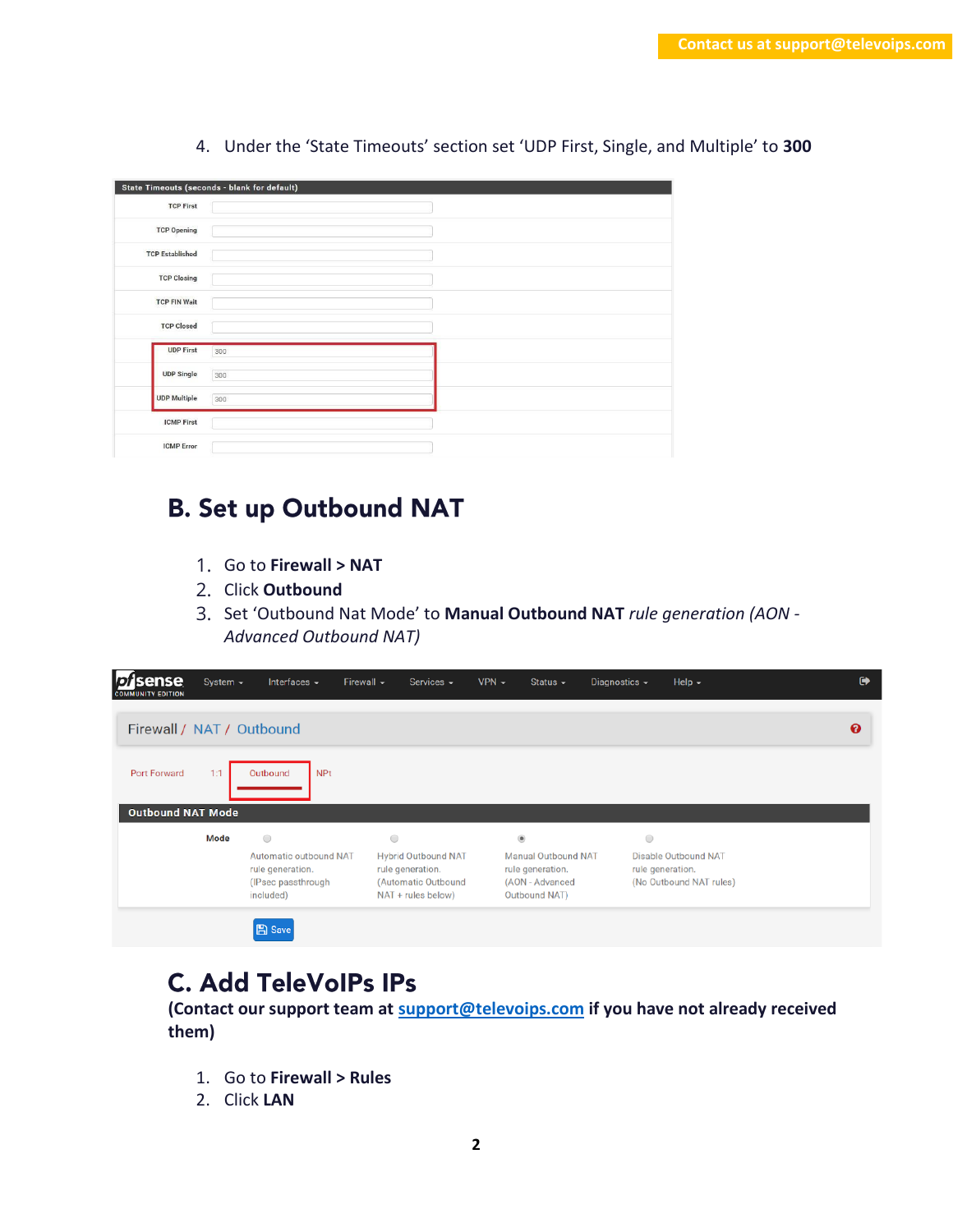|                        | State Timeouts (seconds - blank for default) |  |
|------------------------|----------------------------------------------|--|
| <b>TCP First</b>       |                                              |  |
| <b>TCP Opening</b>     |                                              |  |
| <b>TCP Established</b> |                                              |  |
| <b>TCP Closing</b>     |                                              |  |
| <b>TCP FIN Wait</b>    |                                              |  |
| <b>TCP Closed</b>      |                                              |  |
| <b>UDP First</b>       | 300                                          |  |
| <b>UDP Single</b>      | 300                                          |  |
| <b>UDP Multiple</b>    | 300                                          |  |
| <b>ICMP First</b>      |                                              |  |
| <b>ICMP</b> Error      |                                              |  |

4. Under the 'State Timeouts' section set 'UDP First, Single, and Multiple' to **300**

## **B. Set up Outbound NAT**

- 1. Go to **Firewall > NAT**
- 2. Click **Outbound**
- 3. Set 'Outbound Nat Mode' to **Manual Outbound NAT** *rule generation (AON - Advanced Outbound NAT)*

| <b>D.</b><br>ense<br><b>COMMUNITY EDITION</b> | System $\sim$ | Interfaces $\sim$                                                                           | Firewall $\sim$<br>Services $\sim$                                                                     | $VPN -$ | Status $\sim$                                                                                        | Diagnostics $\blacktriangleright$ | Help $\sim$                                            | $\ddot{\phantom{0}}$ |
|-----------------------------------------------|---------------|---------------------------------------------------------------------------------------------|--------------------------------------------------------------------------------------------------------|---------|------------------------------------------------------------------------------------------------------|-----------------------------------|--------------------------------------------------------|----------------------|
| Firewall / NAT / Outbound                     |               |                                                                                             |                                                                                                        |         |                                                                                                      |                                   |                                                        | ଈ                    |
| Port Forward                                  | 1:1           | Outbound<br><b>NPt</b>                                                                      |                                                                                                        |         |                                                                                                      |                                   |                                                        |                      |
| <b>Outbound NAT Mode</b>                      |               |                                                                                             |                                                                                                        |         |                                                                                                      |                                   |                                                        |                      |
|                                               | Mode          | $\bigcirc$<br>Automatic outbound NAT<br>rule generation.<br>(IPsec passthrough<br>included) | $\circ$<br><b>Hybrid Outbound NAT</b><br>rule generation.<br>(Automatic Outbound<br>NAT + rules below) |         | $\circledcirc$<br><b>Manual Outbound NAT</b><br>rule generation.<br>(AON - Advanced<br>Outbound NAT) | $\circ$<br>rule generation.       | <b>Disable Outbound NAT</b><br>(No Outbound NAT rules) |                      |
|                                               |               | <b>A</b> Save                                                                               |                                                                                                        |         |                                                                                                      |                                   |                                                        |                      |

#### **C. Add TeleVoIPs IPs**

**(Contact our support team at [support@televoips.com](mailto:support@televoips.com) if you have not already received them)**

- 1. Go to **Firewall > Rules**
- 2. Click **LAN**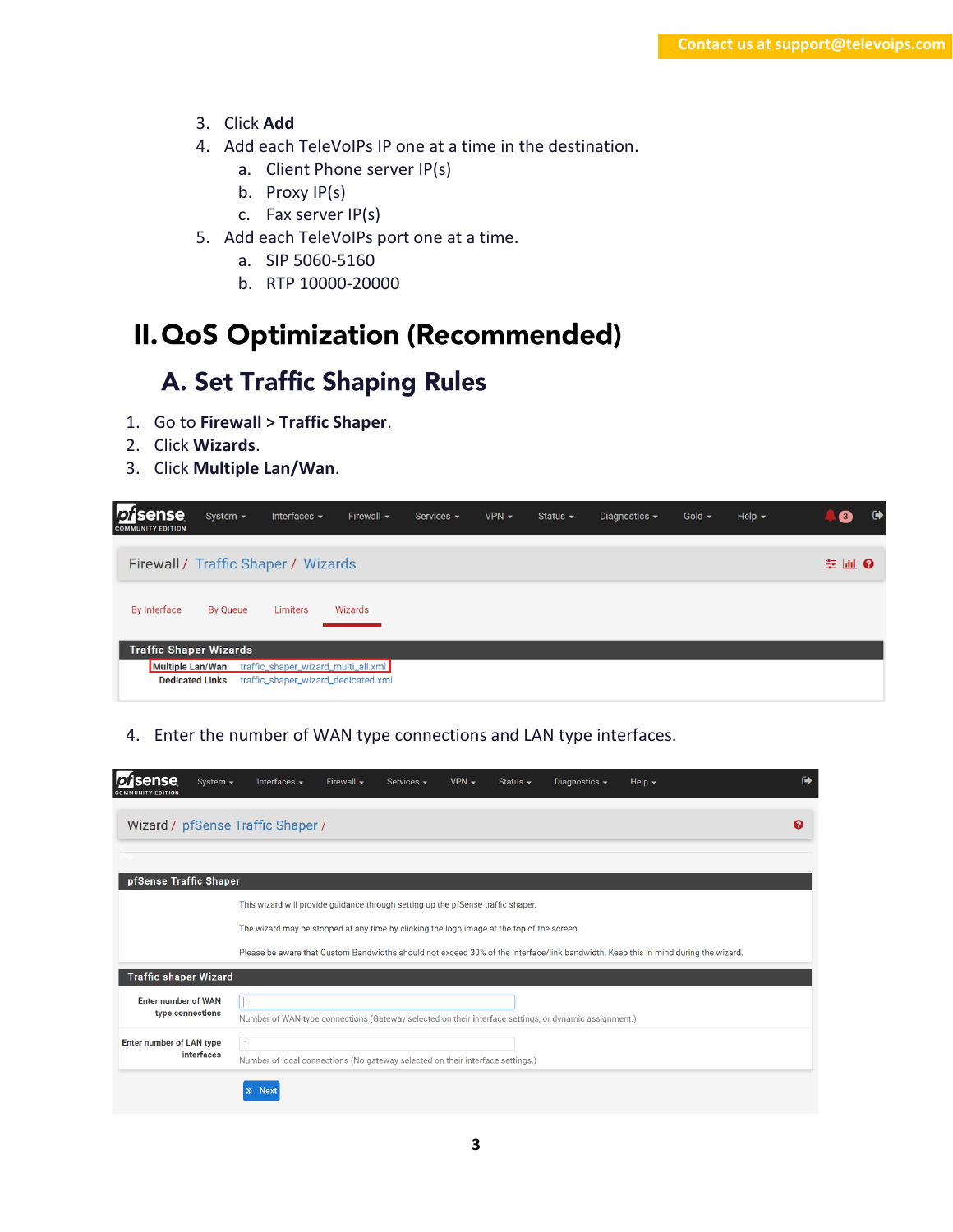- 3. Click **Add**
- 4. Add each TeleVoIPs IP one at a time in the destination.
	- a. Client Phone server IP(s)
	- b. Proxy IP(s)
	- c. Fax server IP(s)
- 5. Add each TeleVoIPs port one at a time.
	- a. SIP 5060-5160
	- b. RTP 10000-20000

## II. QoS Optimization (Recommended)

## A. Set Traffic Shaping Rules

- 1. Go to **Firewall > Traffic Shaper**.
- 2. Click **Wizards**.
- 3. Click **Multiple Lan/Wan**.

| sense<br><b>COMMUNITY EDITION</b>                 | System $\sim$          | Interfaces $\blacktriangleright$                                           | Firewall $\sim$ | Services $\sim$ | $VPN -$ | Status $\sim$ | Diagnostics $\sim$ | Gold $\sim$ | Help $\blacktriangleright$ | $\bullet$<br>$\blacksquare$ |
|---------------------------------------------------|------------------------|----------------------------------------------------------------------------|-----------------|-----------------|---------|---------------|--------------------|-------------|----------------------------|-----------------------------|
|                                                   |                        | Firewall / Traffic Shaper / Wizards                                        |                 |                 |         |               |                    |             |                            | 辛 画 3                       |
| <b>By Interface</b>                               | By Queue               | Limiters                                                                   | Wizards         |                 |         |               |                    |             |                            |                             |
| <b>Traffic Shaper Wizards</b><br>Multiple Lan/Wan | <b>Dedicated Links</b> | traffic_shaper_wizard_multi_all.xml<br>traffic_shaper_wizard_dedicated.xml |                 |                 |         |               |                    |             |                            |                             |

4. Enter the number of WAN type connections and LAN type interfaces.

| ense<br>System $\sim$<br><b>Y EDITION</b>      | Interfaces $\sim$                                                                                     | Firewall $\sim$ | Services $\sim$ | $VPN -$ | Status $\sim$ | Diagnostics $\sim$ | Help $\sim$                                                                                                                        | $\bullet$ |
|------------------------------------------------|-------------------------------------------------------------------------------------------------------|-----------------|-----------------|---------|---------------|--------------------|------------------------------------------------------------------------------------------------------------------------------------|-----------|
| Wizard / pfSense Traffic Shaper /              |                                                                                                       |                 |                 |         |               |                    |                                                                                                                                    | ℯ         |
| pfSense Traffic Shaper                         |                                                                                                       |                 |                 |         |               |                    |                                                                                                                                    |           |
|                                                | This wizard will provide guidance through setting up the pfSense traffic shaper.                      |                 |                 |         |               |                    |                                                                                                                                    |           |
|                                                | The wizard may be stopped at any time by clicking the logo image at the top of the screen.            |                 |                 |         |               |                    |                                                                                                                                    |           |
|                                                |                                                                                                       |                 |                 |         |               |                    | Please be aware that Custom Bandwidths should not exceed 30% of the interface/link bandwidth. Keep this in mind during the wizard. |           |
| <b>Traffic shaper Wizard</b>                   |                                                                                                       |                 |                 |         |               |                    |                                                                                                                                    |           |
| <b>Enter number of WAN</b><br>type connections | $\mathsf{h}$                                                                                          |                 |                 |         |               |                    |                                                                                                                                    |           |
|                                                | Number of WAN-type connections (Gateway selected on their interface settings, or dynamic assignment.) |                 |                 |         |               |                    |                                                                                                                                    |           |
| <b>Enter number of LAN type</b><br>interfaces  | $\mathbf{1}$                                                                                          |                 |                 |         |               |                    |                                                                                                                                    |           |
|                                                | Number of local connections (No gateway selected on their interface settings.)                        |                 |                 |         |               |                    |                                                                                                                                    |           |
|                                                | <b>Next</b><br>≫                                                                                      |                 |                 |         |               |                    |                                                                                                                                    |           |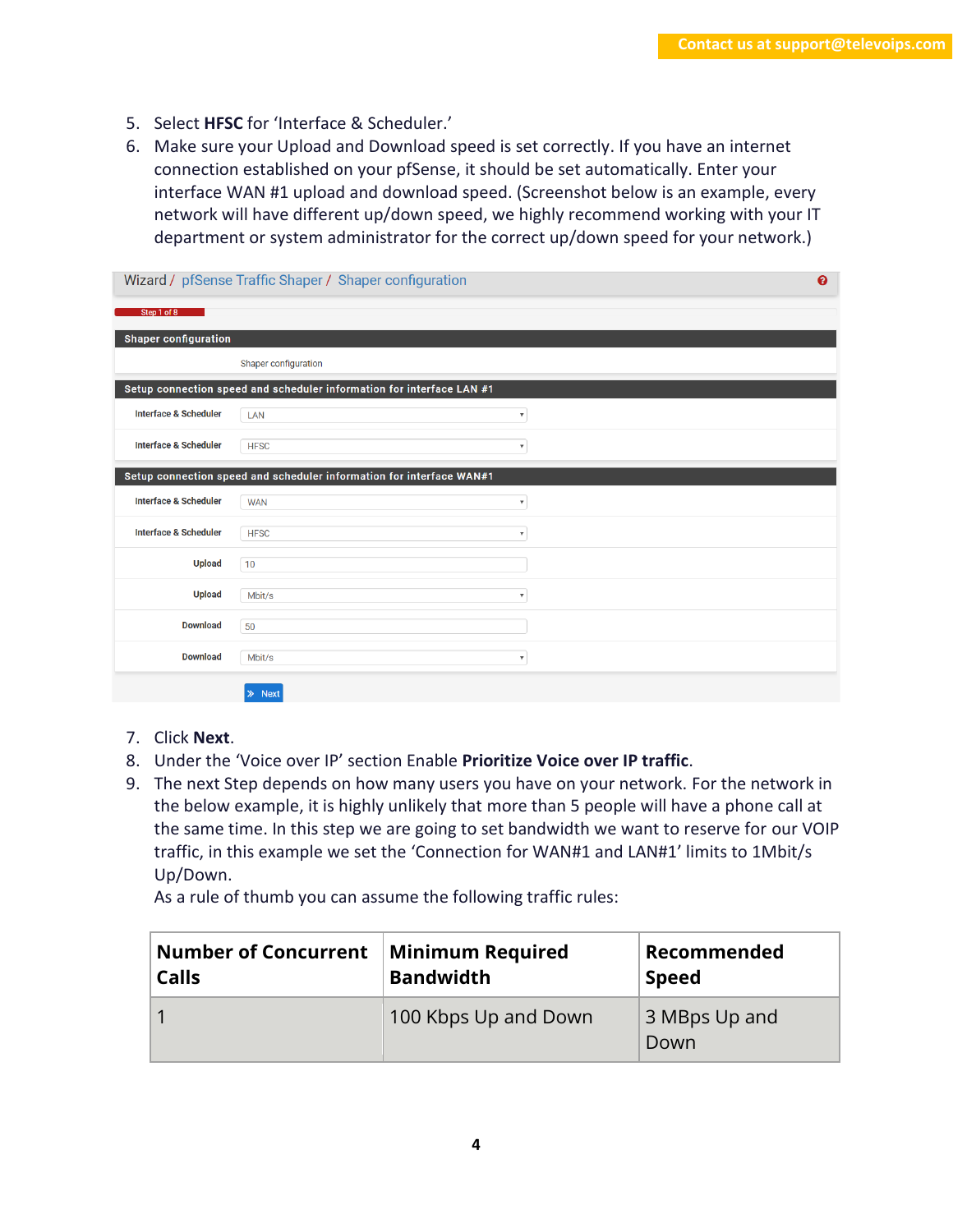- 5. Select **HFSC** for 'Interface & Scheduler.'
- 6. Make sure your Upload and Download speed is set correctly. If you have an internet connection established on your pfSense, it should be set automatically. Enter your interface WAN #1 upload and download speed. (Screenshot below is an example, every network will have different up/down speed, we highly recommend working with your IT department or system administrator for the correct up/down speed for your network.)

|                                  | Wizard / pfSense Traffic Shaper / Shaper configuration                |                           |  |  |  |
|----------------------------------|-----------------------------------------------------------------------|---------------------------|--|--|--|
| Step 1 of 8                      |                                                                       |                           |  |  |  |
| <b>Shaper configuration</b>      |                                                                       |                           |  |  |  |
|                                  | Shaper configuration                                                  |                           |  |  |  |
|                                  | Setup connection speed and scheduler information for interface LAN #1 |                           |  |  |  |
| <b>Interface &amp; Scheduler</b> | LAN                                                                   | $\boldsymbol{\mathrm{v}}$ |  |  |  |
| <b>Interface &amp; Scheduler</b> | <b>HFSC</b>                                                           | $\boldsymbol{\mathrm{v}}$ |  |  |  |
|                                  | Setup connection speed and scheduler information for interface WAN#1  |                           |  |  |  |
| <b>Interface &amp; Scheduler</b> | <b>WAN</b>                                                            | $\overline{\mathbf{v}}$   |  |  |  |
| <b>Interface &amp; Scheduler</b> | <b>HFSC</b>                                                           | $\boldsymbol{\mathrm{v}}$ |  |  |  |
| <b>Upload</b>                    | 10                                                                    |                           |  |  |  |
| <b>Upload</b>                    | Mbit/s                                                                | $\overline{\mathbf{v}}$   |  |  |  |
| <b>Download</b>                  | 50                                                                    |                           |  |  |  |
| <b>Download</b>                  | Mbit/s                                                                | $\boldsymbol{\mathrm{v}}$ |  |  |  |
|                                  | <b>Next</b><br>$\gg$                                                  |                           |  |  |  |

- 7. Click **Next**.
- 8. Under the 'Voice over IP' section Enable **Prioritize Voice over IP traffic**.
- 9. The next Step depends on how many users you have on your network. For the network in the below example, it is highly unlikely that more than 5 people will have a phone call at the same time. In this step we are going to set bandwidth we want to reserve for our VOIP traffic, in this example we set the 'Connection for WAN#1 and LAN#1' limits to 1Mbit/s Up/Down.

As a rule of thumb you can assume the following traffic rules:

| <b>Number of Concurrent</b> | <b>Minimum Required</b> | Recommended           |  |  |
|-----------------------------|-------------------------|-----------------------|--|--|
| <b>Calls</b>                | <b>Bandwidth</b>        | <b>Speed</b>          |  |  |
|                             | 100 Kbps Up and Down    | 3 MBps Up and<br>Down |  |  |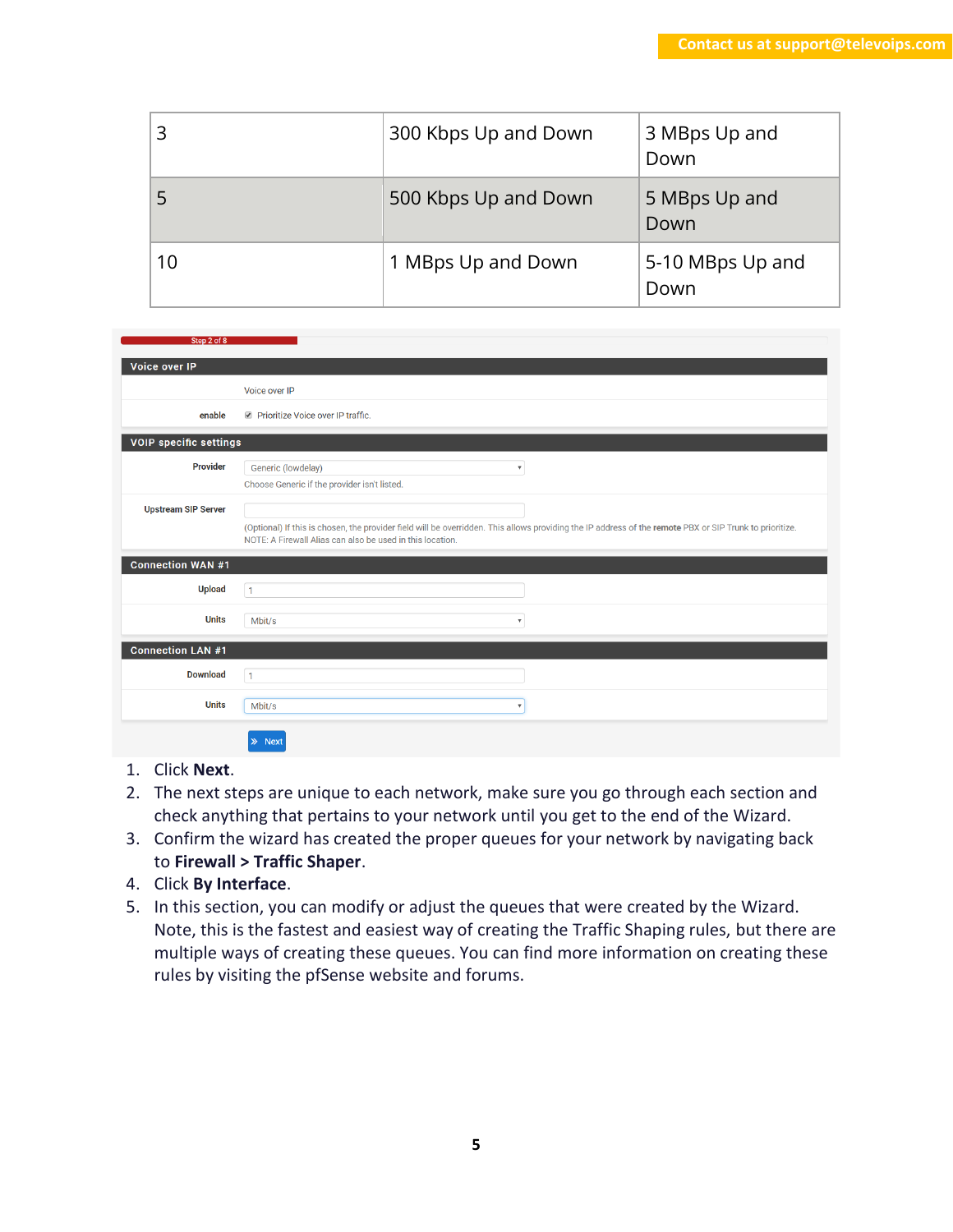|    | 300 Kbps Up and Down | 3 MBps Up and<br>Down    |
|----|----------------------|--------------------------|
|    | 500 Kbps Up and Down | 5 MBps Up and<br>Down    |
| 10 | 1 MBps Up and Down   | 5-10 MBps Up and<br>Down |

| Step 2 of 8                   |                                                                                                                                                                                                                      |
|-------------------------------|----------------------------------------------------------------------------------------------------------------------------------------------------------------------------------------------------------------------|
| Voice over IP                 |                                                                                                                                                                                                                      |
|                               | Voice over IP                                                                                                                                                                                                        |
| enable                        | Prioritize Voice over IP traffic.                                                                                                                                                                                    |
| <b>VOIP specific settings</b> |                                                                                                                                                                                                                      |
| <b>Provider</b>               | Generic (lowdelay)<br>$\overline{\mathbf{v}}$<br>Choose Generic if the provider isn't listed.                                                                                                                        |
| <b>Upstream SIP Server</b>    | (Optional) If this is chosen, the provider field will be overridden. This allows providing the IP address of the remote PBX or SIP Trunk to prioritize.<br>NOTE: A Firewall Alias can also be used in this location. |
| <b>Connection WAN #1</b>      |                                                                                                                                                                                                                      |
| <b>Upload</b>                 | $\overline{1}$                                                                                                                                                                                                       |
| <b>Units</b>                  | Mbit/s<br>$\overline{\mathbf{v}}$                                                                                                                                                                                    |
| <b>Connection LAN #1</b>      |                                                                                                                                                                                                                      |
| <b>Download</b>               | $\mathbf{1}$                                                                                                                                                                                                         |
| <b>Units</b>                  | Mbit/s<br>$\boldsymbol{\mathrm{v}}$                                                                                                                                                                                  |
|                               | <b>Next</b><br>≫                                                                                                                                                                                                     |

- 1. Click **Next**.
- 2. The next steps are unique to each network, make sure you go through each section and check anything that pertains to your network until you get to the end of the Wizard.
- 3. Confirm the wizard has created the proper queues for your network by navigating back to **Firewall > Traffic Shaper**.
- 4. Click **By Interface**.
- 5. In this section, you can modify or adjust the queues that were created by the Wizard. Note, this is the fastest and easiest way of creating the Traffic Shaping rules, but there are multiple ways of creating these queues. You can find more information on creating these rules by visiting the pfSense website and forums.